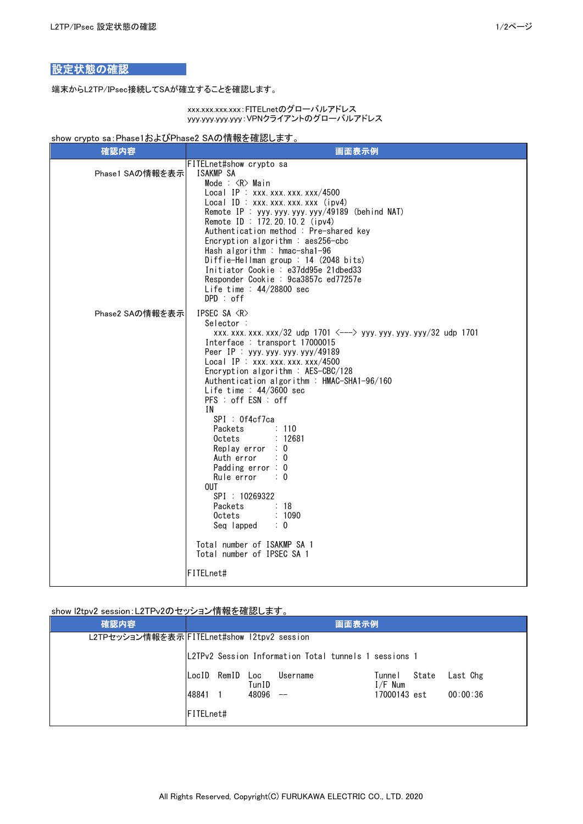## 設定状態の確認

端末からL2TP/IPsec接続してSAが確立することを確認します。

xxx.xxx.xxx.xxx:FITELnetのグローバルアドレス yyy.yyy.yyy.yyy:VPNクライアントのグローバルアドレス

## show crypto sa:Phase1およびPhase2 SAの情報を確認します。

| 確認内容            | 画面表示例                                                                                                                                                                                                                                                                                                                                                                                                                                                                                                                                                                                                                                                                                                                                                                                                                                                                                |  |  |  |  |
|-----------------|--------------------------------------------------------------------------------------------------------------------------------------------------------------------------------------------------------------------------------------------------------------------------------------------------------------------------------------------------------------------------------------------------------------------------------------------------------------------------------------------------------------------------------------------------------------------------------------------------------------------------------------------------------------------------------------------------------------------------------------------------------------------------------------------------------------------------------------------------------------------------------------|--|--|--|--|
| Phase1 SAの情報を表示 | FITELnet#show crypto sa<br>ISAKMP SA<br>Mode : $\langle R \rangle$ Main<br>Local IP: $xxx.xxx.xxx.xxx/4500$<br>Local ID : XXX. XXX. XXX. XXX. (ipv4)<br>Remote IP : yyy.yyy.yyy.yyy/49189 (behind NAT)<br>Remote ID: 172.20.10.2 (ipv4)<br>Authentication method : Pre-shared key<br>Encryption algorithm : $aes256-cbc$<br>Hash algorithm : hmac-sha1-96<br>Diffie-Hellman group : 14 (2048 bits)<br>Initiator Cookie : e37dd95e 21dbed33<br>Responder Cookie : 9ca3857c ed77257e<br>Life time : $44/28800$ sec<br>DPD : off                                                                                                                                                                                                                                                                                                                                                        |  |  |  |  |
| Phase2 SAの情報を表示 | IPSEC SA <r><br/>Selector :<br/>xxx. xxx. xxx. xxx/32 udp 1701 <math>\langle</math>---&gt; yyy. yyy. yyy. yyy/32 udp 1701<br/>Interface: transport 17000015<br/>Peer IP : <math>yyy. yyy. yyy. yyy/49189</math><br/>Local IP: xxx. xxx. xxx. xxx/4500<br/>Encryption algorithm : <math>AES-CBC/128</math><br/>Authentication algorithm : HMAC-SHA1-96/160<br/>Life time : <math>44/3600</math> sec<br/>PFS : off ESN : off<br/>IN.<br/>SPI : Of4cf7ca<br/>Packets<br/><math>\therefore</math> 110<br/>: 12681<br/>Octets<br/>Replay error <math>: 0</math><br/>Auth error<br/>: 0<br/>Padding error <math>: 0</math><br/>Rule error<br/><math>\therefore</math> 0<br/><b>OUT</b><br/>SPI: 10269322<br/><math>\therefore</math> 18<br/>Packets<br/>: 1090<br/>Octets<br/>Seq lapped <math>: 0</math><br/>Total number of ISAKMP SA 1<br/>Total number of IPSEC SA 1<br/>FITELnet#</r> |  |  |  |  |

show l2tpv2 session:L2TPv2のセッション情報を確認します。

| 確認内容                                        |                  |             |              | 画面表示例                                                 |                     |       |          |
|---------------------------------------------|------------------|-------------|--------------|-------------------------------------------------------|---------------------|-------|----------|
| L2TPセッション情報を表示 FITELnet#show 12tpv2 session |                  |             |              |                                                       |                     |       |          |
|                                             |                  |             |              | L2TPv2 Session Information Total tunnels 1 sessions 1 |                     |       |          |
|                                             |                  | LocID RemID | Loc<br>TunID | Username                                              | Tunnel<br>$I/F$ Num | State | Last Chg |
|                                             | 48841            |             | 48096        | $\qquad \qquad -$                                     | 17000143 est        |       | 00:00:36 |
|                                             | <b>FITELnet#</b> |             |              |                                                       |                     |       |          |